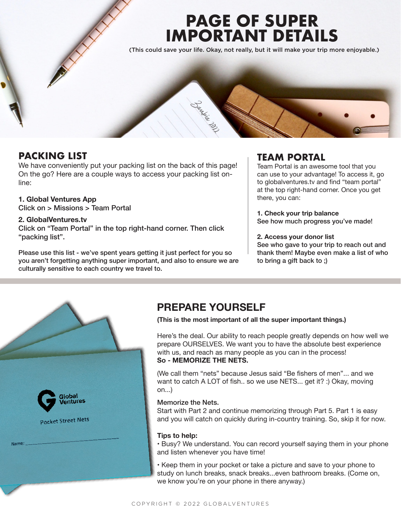# **PAGE OF SUPER IMPORTANT DETAILS**

(This could save your life. Okay, not really, but it will make your trip more enjoyable.)



# **PACKING LIST**

We have conveniently put your packing list on the back of this page! On the go? Here are a couple ways to access your packing list online:

## **1. Global Ventures App**

Click on > Missions > Team Portal

#### **2. GlobalVentures.tv**

Click on "Team Portal" in the top right-hand corner. Then click "packing list".

Please use this list - we've spent years getting it just perfect for you so you aren't forgetting anything super important, and also to ensure we are culturally sensitive to each country we travel to.

# **TEAM PORTAL**

Team Portal is an awesome tool that you can use to your advantage! To access it, go to globalventures.tv and find "team portal" at the top right-hand corner. Once you get there, you can:

**1. Check your trip balance** See how much progress you've made!

#### **2. Access your donor list**

See who gave to your trip to reach out and thank them! Maybe even make a list of who to bring a gift back to ;)



# **PREPARE YOURSELF**

**(This is the most important of all the super important things.)**

Here's the deal. Our ability to reach people greatly depends on how well we prepare OURSELVES. We want you to have the absolute best experience with us, and reach as many people as you can in the process! **So - MEMORIZE THE NETS.** 

(We call them "nets" because Jesus said "Be fishers of men"... and we want to catch A LOT of fish.. so we use NETS... get it? :) Okay, moving on...)

#### Memorize the Nets.

Start with Part 2 and continue memorizing through Part 5. Part 1 is easy and you will catch on quickly during in-country training. So, skip it for now.

#### **Tips to help:**

• Busy? We understand. You can record yourself saying them in your phone and listen whenever you have time!

• Keep them in your pocket or take a picture and save to your phone to study on lunch breaks, snack breaks...even bathroom breaks. (Come on, we know you're on your phone in there anyway.)